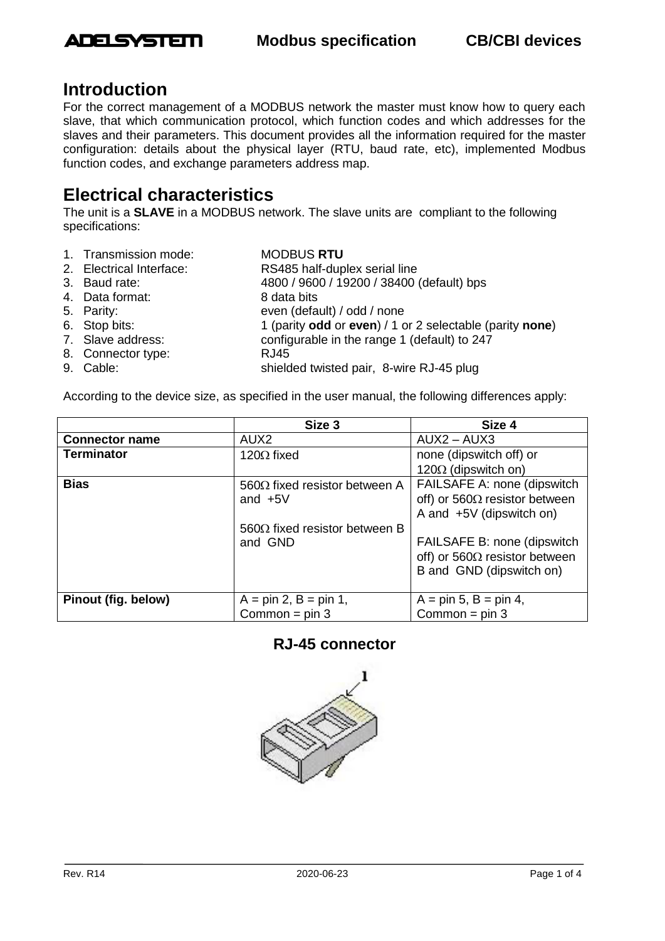

# **Introduction**

For the correct management of a MODBUS network the master must know how to query each slave, that which communication protocol, which function codes and which addresses for the slaves and their parameters. This document provides all the information required for the master configuration: details about the physical layer (RTU, baud rate, etc), implemented Modbus function codes, and exchange parameters address map.

# **Electrical characteristics**

The unit is a **SLAVE** in a MODBUS network. The slave units are compliant to the following specifications:

1. Transmission mode: MODBUS **RTU** 2. Electrical Interface: RS485 half-duplex serial line 3. Baud rate: 4800 / 9600 / 19200 / 38400 (default) bps 4. Data format: 8 data bits 5. Parity:<br>
6. Stop bits:<br>
6. Stop bits:<br>
1 (parity **odd** or **even**) / 1 c 6. Stop bits: 1 (parity **odd** or **even**) / 1 or 2 selectable (parity **none**) 7. Slave address: configurable in the range 1 (default) to 247 8. Connector type: RJ45 9. Cable: shielded twisted pair, 8-wire RJ-45 plug

According to the device size, as specified in the user manual, the following differences apply:

|                       | Size 3                                | Size 4                                |
|-----------------------|---------------------------------------|---------------------------------------|
| <b>Connector name</b> | AUX <sub>2</sub>                      | $AUX2 - AUX3$                         |
| <b>Terminator</b>     | 120 $\Omega$ fixed                    | none (dipswitch off) or               |
|                       |                                       | 120 $\Omega$ (dipswitch on)           |
| <b>Bias</b>           | 560 $\Omega$ fixed resistor between A | FAILSAFE A: none (dipswitch           |
|                       | and $+5V$                             | off) or 560 $\Omega$ resistor between |
|                       |                                       | A and $+5V$ (dipswitch on)            |
|                       | 560 $\Omega$ fixed resistor between B |                                       |
|                       | and GND                               | FAILSAFE B: none (dipswitch           |
|                       |                                       | off) or 560 $\Omega$ resistor between |
|                       |                                       | B and GND (dipswitch on)              |
|                       |                                       |                                       |
| Pinout (fig. below)   | $A = pin 2, B = pin 1,$               | $A = pin 5, B = pin 4,$               |
|                       | Common = $pin 3$                      | Common = $pin 3$                      |

## **RJ-45 connector**

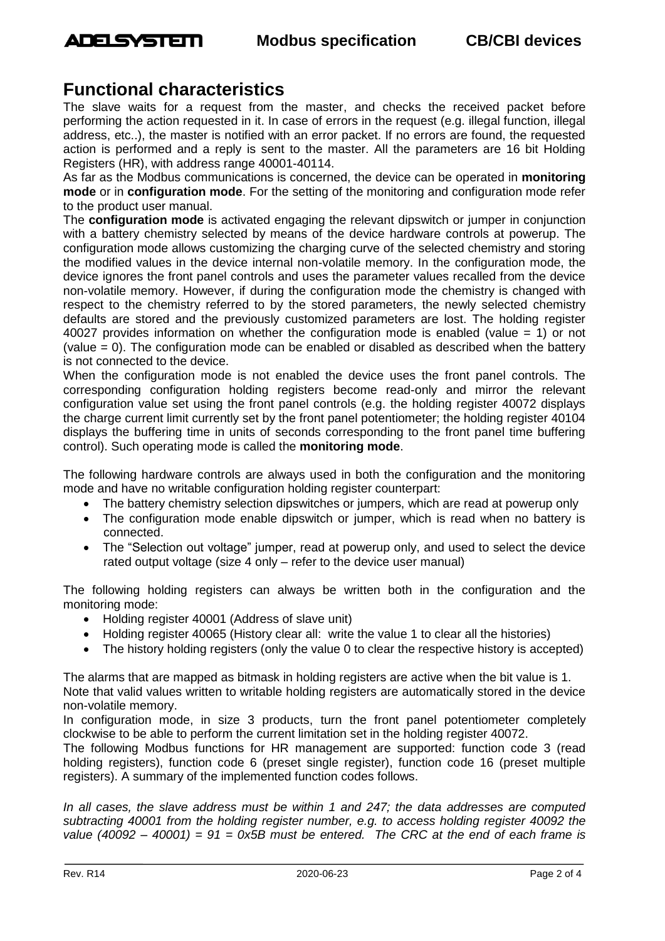

# **Functional characteristics**

The slave waits for a request from the master, and checks the received packet before performing the action requested in it. In case of errors in the request (e.g. illegal function, illegal address, etc..), the master is notified with an error packet. If no errors are found, the requested action is performed and a reply is sent to the master. All the parameters are 16 bit Holding Registers (HR), with address range 40001-40114.

As far as the Modbus communications is concerned, the device can be operated in **monitoring mode** or in **configuration mode**. For the setting of the monitoring and configuration mode refer to the product user manual.

The **configuration mode** is activated engaging the relevant dipswitch or jumper in conjunction with a battery chemistry selected by means of the device hardware controls at powerup. The configuration mode allows customizing the charging curve of the selected chemistry and storing the modified values in the device internal non-volatile memory. In the configuration mode, the device ignores the front panel controls and uses the parameter values recalled from the device non-volatile memory. However, if during the configuration mode the chemistry is changed with respect to the chemistry referred to by the stored parameters, the newly selected chemistry defaults are stored and the previously customized parameters are lost. The holding register 40027 provides information on whether the configuration mode is enabled (value  $= 1$ ) or not (value = 0). The configuration mode can be enabled or disabled as described when the battery is not connected to the device.

When the configuration mode is not enabled the device uses the front panel controls. The corresponding configuration holding registers become read-only and mirror the relevant configuration value set using the front panel controls (e.g. the holding register 40072 displays the charge current limit currently set by the front panel potentiometer; the holding register 40104 displays the buffering time in units of seconds corresponding to the front panel time buffering control). Such operating mode is called the **monitoring mode**.

The following hardware controls are always used in both the configuration and the monitoring mode and have no writable configuration holding register counterpart:

- The battery chemistry selection dipswitches or jumpers, which are read at powerup only
- The configuration mode enable dipswitch or jumper, which is read when no battery is connected.
- The "Selection out voltage" jumper, read at powerup only, and used to select the device rated output voltage (size 4 only – refer to the device user manual)

The following holding registers can always be written both in the configuration and the monitoring mode:

- Holding register 40001 (Address of slave unit)
- Holding register 40065 (History clear all: write the value 1 to clear all the histories)
- The history holding registers (only the value 0 to clear the respective history is accepted)

The alarms that are mapped as bitmask in holding registers are active when the bit value is 1. Note that valid values written to writable holding registers are automatically stored in the device non-volatile memory.

In configuration mode, in size 3 products, turn the front panel potentiometer completely clockwise to be able to perform the current limitation set in the holding register 40072.

The following Modbus functions for HR management are supported: function code 3 (read holding registers), function code 6 (preset single register), function code 16 (preset multiple registers). A summary of the implemented function codes follows.

*In all cases, the slave address must be within 1 and 247; the data addresses are computed subtracting 40001 from the holding register number, e.g. to access holding register 40092 the value (40092 – 40001) = 91 = 0x5B must be entered. The CRC at the end of each frame is*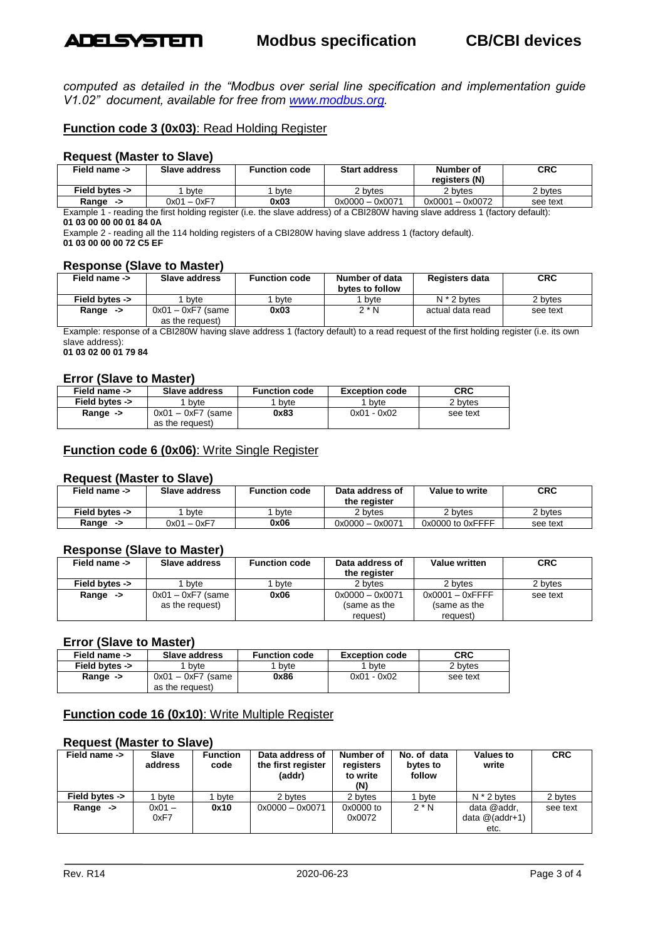

### **Modbus specification CB/CBI devices**

*computed as detailed in the "Modbus over serial line specification and implementation guide V1.02" document, available for free from [www.modbus.org.](http://www.modbus.org/)*

### **Function code 3 (0x03)**: Read Holding Register

#### **Request (Master to Slave)**

| Field name ->       | Slave address | Function code | <b>Start address</b> | Number of<br>reaisters (N) | <b>CRC</b> |
|---------------------|---------------|---------------|----------------------|----------------------------|------------|
| Field bytes ->      | byte          | byte          | 2 bytes              | 2 bytes                    | 2 bytes    |
| Range $\rightarrow$ | $0x01 - 0xF7$ | 0x03          | $0x0000 - 0x0071$    | $0x0001 - 0x0072$          | see text   |

Example 1 - reading the first holding register (i.e. the slave address) of a CBI280W having slave address 1 (factory default):

**01 03 00 00 00 01 84 0A**

Example 2 - reading all the 114 holding registers of a CBI280W having slave address 1 (factory default). **01 03 00 00 00 72 C5 EF**

#### **Response (Slave to Master)**

| Field name ->       | Slave address                          | <b>Function code</b> | Number of data<br>bytes to follow | Registers data   | <b>CRC</b> |
|---------------------|----------------------------------------|----------------------|-----------------------------------|------------------|------------|
| Field bytes ->      | byte                                   | bvte                 | byte                              | $N * 2$ bytes    | 2 bytes    |
| Range $\rightarrow$ | $0x01 - 0xF7$ (same<br>as the request) | 0x03                 | $2^*N$                            | actual data read | see text   |

Example: response of a CBI280W having slave address 1 (factory default) to a read request of the first holding register (i.e. its own slave address):

**01 03 02 00 01 79 84**

#### **Error (Slave to Master)**

| Field name ->       | Slave address                          | <b>Function code</b> | <b>Exception code</b> | CRC      |
|---------------------|----------------------------------------|----------------------|-----------------------|----------|
| Field bytes ->      | bvte                                   | byte                 | <sup>1</sup> byte     | 2 bytes  |
| Range $\rightarrow$ | $0x01 - 0xF7$ (same<br>as the request) | 0x83                 | $0x01 - 0x02$         | see text |

### **Function code 6 (0x06)**: Write Single Register

#### **Request (Master to Slave)**

| Field name ->  | Slave address | <b>Function code</b> | Data address of<br>the register | Value to write   | <b>CRC</b> |
|----------------|---------------|----------------------|---------------------------------|------------------|------------|
| Field bytes -> | byte          | byte                 | 2 bytes                         | 2 bytes          | 2 bytes    |
| Range<br>->    | $0x01 - 0xF7$ | 0x06                 | $0x0000 - 0x0071$               | 0x0000 to 0xFFFF | see text   |

#### **Response (Slave to Master)**

| Field name ->  | Slave address       | <b>Function code</b> | Data address of<br>Value written<br>the register |                    | <b>CRC</b> |
|----------------|---------------------|----------------------|--------------------------------------------------|--------------------|------------|
| Field bytes -> | byte                | byte                 | 2 bytes                                          | 2 bytes            | 2 bytes    |
| Range<br>->    | $0x01 - 0xF7$ (same | 0x06                 | $0x0000 - 0x0071$                                | $0x0001 - 0x$ FFFF | see text   |
|                | as the request)     |                      | (same as the                                     | (same as the       |            |
|                |                     |                      | request)                                         | request)           |            |

#### **Error (Slave to Master)**

| Field name ->       | Slave address                          | <b>Function code</b> | <b>Exception code</b> | CRC      |
|---------------------|----------------------------------------|----------------------|-----------------------|----------|
| Field bytes ->      | byte                                   | bvte                 | bvte                  | 2 bytes  |
| Range $\rightarrow$ | $0x01 - 0xF7$ (same<br>as the request) | 0x86                 | $0x01 - 0x02$         | see text |

### **Function code 16 (0x10)**: Write Multiple Register

#### **Request (Master to Slave)**

| Field name ->  | Slave<br>address | <b>Function</b><br>code | Data address of<br>the first register<br>(addr) | Number of<br>registers<br>to write<br>(N) | No. of data<br>bytes to<br>follow | <b>Values to</b><br>write                | <b>CRC</b> |
|----------------|------------------|-------------------------|-------------------------------------------------|-------------------------------------------|-----------------------------------|------------------------------------------|------------|
| Field bytes -> | l bvte           | bvte                    | 2 bytes                                         | 2 bytes                                   | bvte                              | $N * 2$ bytes                            | 2 bytes    |
| Range<br>->    | $0x01 -$<br>0xF7 | 0x10                    | $0x0000 - 0x0071$                               | 0x0000 to<br>0x0072                       | $2^*N$                            | data @addr,<br>data $@$ (addr+1)<br>etc. | see text   |